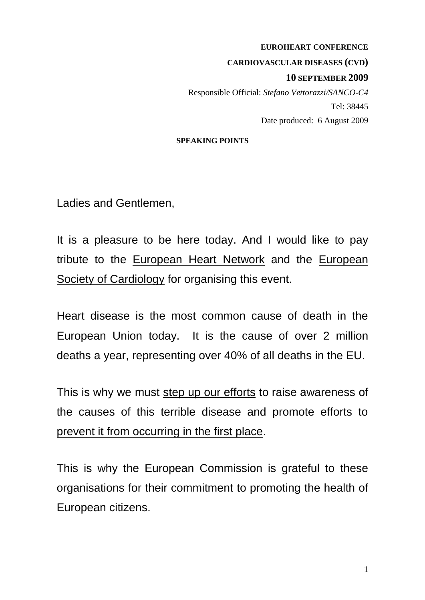#### **EUROHEART CONFERENCE**

**CARDIOVASCULAR DISEASES (CVD)**

### **10 SEPTEMBER 2009**

Responsible Official: *Stefano Vettorazzi/SANCO-C4* Tel: 38445 Date produced: 6 August 2009

#### **SPEAKING POINTS**

Ladies and Gentlemen,

It is a pleasure to be here today. And I would like to pay tribute to the European Heart Network and the European Society of Cardiology for organising this event.

Heart disease is the most common cause of death in the European Union today. It is the cause of over 2 million deaths a year, representing over 40% of all deaths in the EU.

This is why we must step up our efforts to raise awareness of the causes of this terrible disease and promote efforts to prevent it from occurring in the first place.

This is why the European Commission is grateful to these organisations for their commitment to promoting the health of European citizens.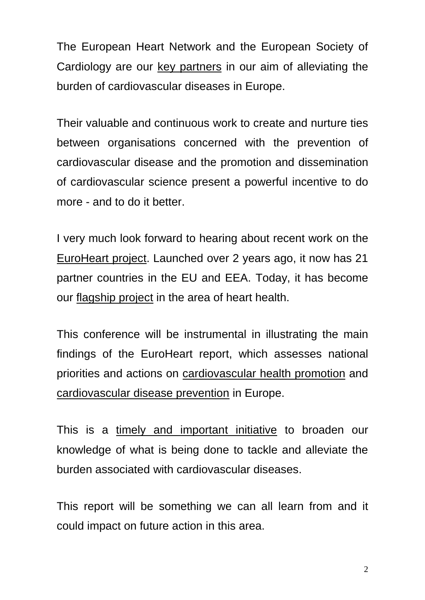The European Heart Network and the European Society of Cardiology are our key partners in our aim of alleviating the burden of cardiovascular diseases in Europe.

Their valuable and continuous work to create and nurture ties between organisations concerned with the prevention of cardiovascular disease and the promotion and dissemination of cardiovascular science present a powerful incentive to do more - and to do it better.

I very much look forward to hearing about recent work on the EuroHeart project. Launched over 2 years ago, it now has 21 partner countries in the EU and EEA. Today, it has become our flagship project in the area of heart health.

This conference will be instrumental in illustrating the main findings of the EuroHeart report, which assesses national priorities and actions on cardiovascular health promotion and cardiovascular disease prevention in Europe.

This is a timely and important initiative to broaden our knowledge of what is being done to tackle and alleviate the burden associated with cardiovascular diseases.

This report will be something we can all learn from and it could impact on future action in this area.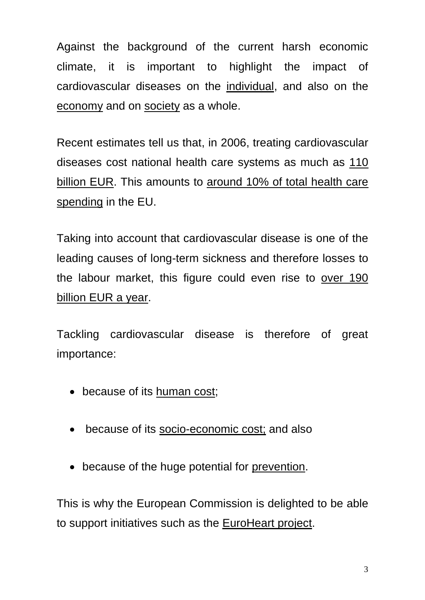Against the background of the current harsh economic climate, it is important to highlight the impact of cardiovascular diseases on the individual, and also on the economy and on society as a whole.

Recent estimates tell us that, in 2006, treating cardiovascular diseases cost national health care systems as much as 110 billion EUR. This amounts to around 10% of total health care spending in the EU.

Taking into account that cardiovascular disease is one of the leading causes of long-term sickness and therefore losses to the labour market, this figure could even rise to over 190 billion EUR a year.

Tackling cardiovascular disease is therefore of great importance:

- because of its human cost;
- because of its socio-economic cost; and also
- because of the huge potential for prevention.

This is why the European Commission is delighted to be able to support initiatives such as the EuroHeart project.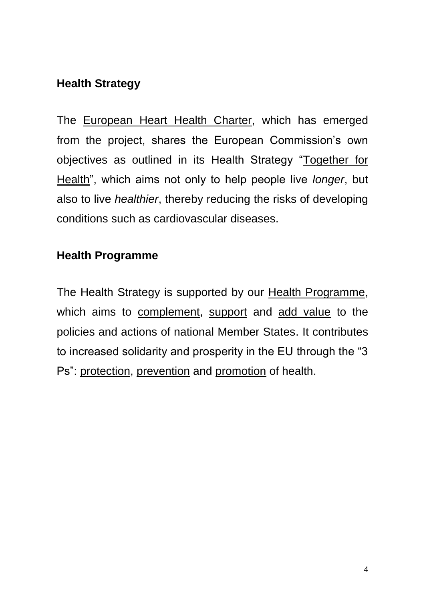## **Health Strategy**

The European Heart Health Charter, which has emerged from the project, shares the European Commission's own objectives as outlined in its Health Strategy "Together for Health", which aims not only to help people live *longer*, but also to live *healthier*, thereby reducing the risks of developing conditions such as cardiovascular diseases.

## **Health Programme**

The Health Strategy is supported by our Health Programme, which aims to complement, support and add value to the policies and actions of national Member States. It contributes to increased solidarity and prosperity in the EU through the "3 Ps": protection, prevention and promotion of health.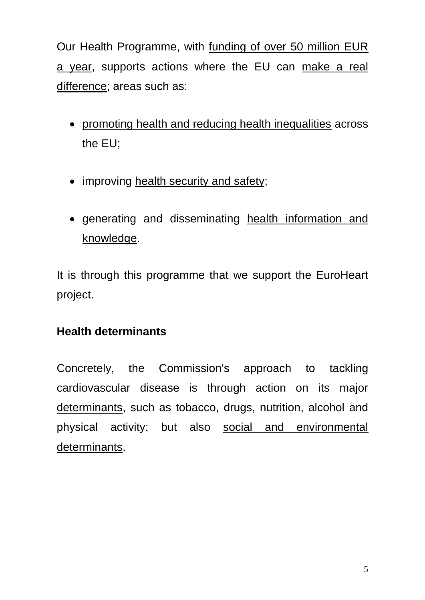Our Health Programme, with funding of over 50 million EUR a year, supports actions where the EU can make a real difference; areas such as:

- promoting health and reducing health inequalities across the EU;
- improving health security and safety;
- generating and disseminating health information and knowledge.

It is through this programme that we support the EuroHeart project.

# **Health determinants**

Concretely, the Commission's approach to tackling cardiovascular disease is through action on its major determinants, such as tobacco, drugs, nutrition, alcohol and physical activity; but also social and environmental determinants.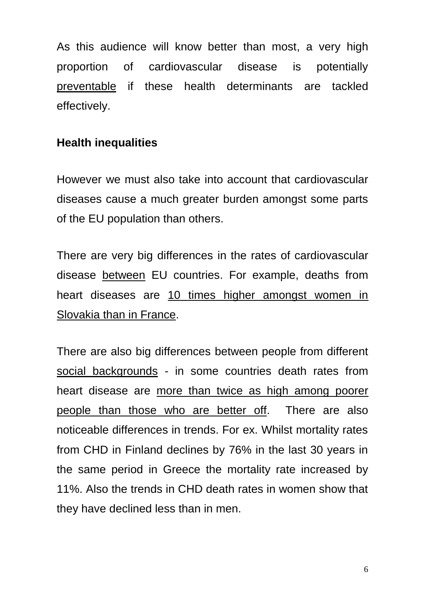As this audience will know better than most, a very high proportion of cardiovascular disease is potentially preventable if these health determinants are tackled effectively.

# **Health inequalities**

However we must also take into account that cardiovascular diseases cause a much greater burden amongst some parts of the EU population than others.

There are very big differences in the rates of cardiovascular disease between EU countries. For example, deaths from heart diseases are 10 times higher amongst women in Slovakia than in France.

There are also big differences between people from different social backgrounds - in some countries death rates from heart disease are more than twice as high among poorer people than those who are better off. There are also noticeable differences in trends. For ex. Whilst mortality rates from CHD in Finland declines by 76% in the last 30 years in the same period in Greece the mortality rate increased by 11%. Also the trends in CHD death rates in women show that they have declined less than in men.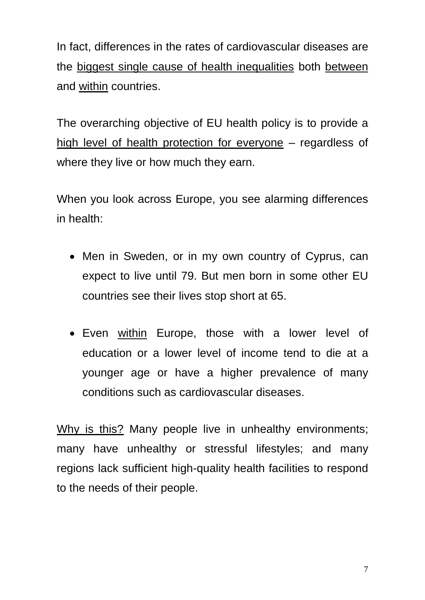In fact, differences in the rates of cardiovascular diseases are the biggest single cause of health inequalities both between and within countries.

The overarching objective of EU health policy is to provide a high level of health protection for everyone – regardless of where they live or how much they earn.

When you look across Europe, you see alarming differences in health:

- Men in Sweden, or in my own country of Cyprus, can expect to live until 79. But men born in some other EU countries see their lives stop short at 65.
- Even within Europe, those with a lower level of education or a lower level of income tend to die at a younger age or have a higher prevalence of many conditions such as cardiovascular diseases.

Why is this? Many people live in unhealthy environments; many have unhealthy or stressful lifestyles; and many regions lack sufficient high-quality health facilities to respond to the needs of their people.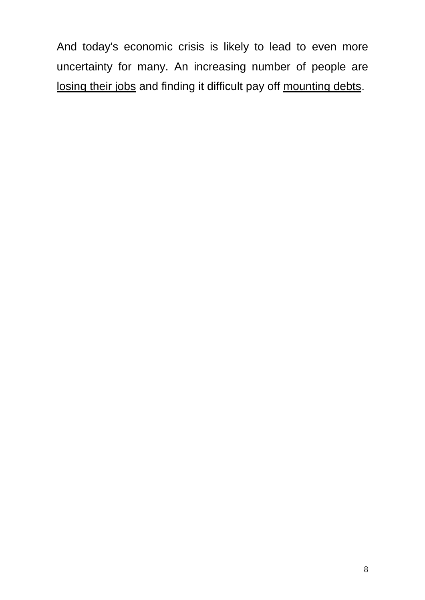And today's economic crisis is likely to lead to even more uncertainty for many. An increasing number of people are losing their jobs and finding it difficult pay off mounting debts.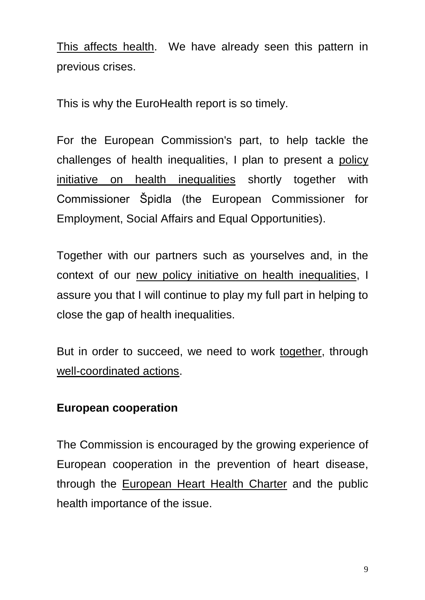This affects health. We have already seen this pattern in previous crises.

This is why the EuroHealth report is so timely.

For the European Commission's part, to help tackle the challenges of health inequalities, I plan to present a policy initiative on health inequalities shortly together with Commissioner Špidla (the European Commissioner for Employment, Social Affairs and Equal Opportunities).

Together with our partners such as yourselves and, in the context of our new policy initiative on health inequalities, I assure you that I will continue to play my full part in helping to close the gap of health inequalities.

But in order to succeed, we need to work together, through well-coordinated actions.

## **European cooperation**

The Commission is encouraged by the growing experience of European cooperation in the prevention of heart disease, through the European Heart Health Charter and the public health importance of the issue.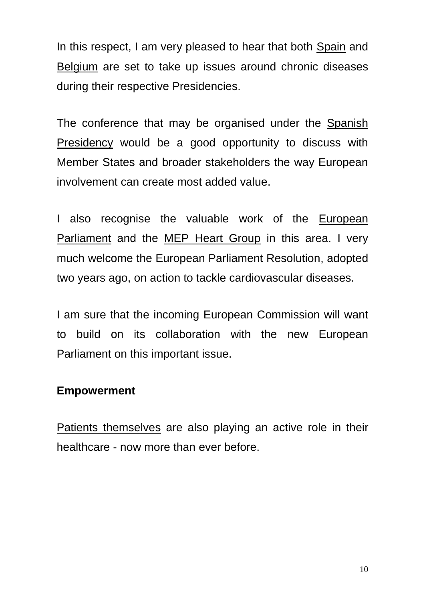In this respect, I am very pleased to hear that both Spain and Belgium are set to take up issues around chronic diseases during their respective Presidencies.

The conference that may be organised under the Spanish Presidency would be a good opportunity to discuss with Member States and broader stakeholders the way European involvement can create most added value.

I also recognise the valuable work of the European Parliament and the MEP Heart Group in this area. I very much welcome the European Parliament Resolution, adopted two years ago, on action to tackle cardiovascular diseases.

I am sure that the incoming European Commission will want to build on its collaboration with the new European Parliament on this important issue.

### **Empowerment**

Patients themselves are also playing an active role in their healthcare - now more than ever before.